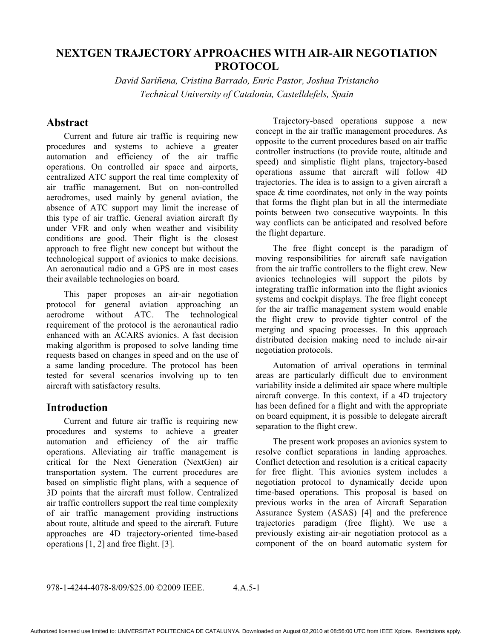# **NEXTGEN TRAJECTORY APPROACHES WITH AIR-AIR NEGOTIATION PROTOCOL**

*David Sariñena, Cristina Barrado, Enric Pastor, Joshua Tristancho Technical University of Catalonia, Castelldefels, Spain* 

# **Abstract**

Current and future air traffic is requiring new procedures and systems to achieve a greater automation and efficiency of the air traffic operations. On controlled air space and airports, centralized ATC support the real time complexity of air traffic management. But on non-controlled aerodromes, used mainly by general aviation, the absence of ATC support may limit the increase of this type of air traffic. General aviation aircraft fly under VFR and only when weather and visibility conditions are good. Their flight is the closest approach to free flight new concept but without the technological support of avionics to make decisions. An aeronautical radio and a GPS are in most cases their available technologies on board.

This paper proposes an air-air negotiation protocol for general aviation approaching an aerodrome without ATC. The technological requirement of the protocol is the aeronautical radio enhanced with an ACARS avionics. A fast decision making algorithm is proposed to solve landing time requests based on changes in speed and on the use of a same landing procedure. The protocol has been tested for several scenarios involving up to ten aircraft with satisfactory results.

# **Introduction**

Current and future air traffic is requiring new procedures and systems to achieve a greater automation and efficiency of the air traffic operations. Alleviating air traffic management is critical for the Next Generation (NextGen) air transportation system. The current procedures are based on simplistic flight plans, with a sequence of 3D points that the aircraft must follow. Centralized air traffic controllers support the real time complexity of air traffic management providing instructions about route, altitude and speed to the aircraft. Future approaches are 4D trajectory-oriented time-based operations [1, 2] and free flight. [3].

Trajectory-based operations suppose a new concept in the air traffic management procedures. As opposite to the current procedures based on air traffic controller instructions (to provide route, altitude and speed) and simplistic flight plans, trajectory-based operations assume that aircraft will follow 4D trajectories. The idea is to assign to a given aircraft a space & time coordinates, not only in the way points that forms the flight plan but in all the intermediate points between two consecutive waypoints. In this way conflicts can be anticipated and resolved before the flight departure.

The free flight concept is the paradigm of moving responsibilities for aircraft safe navigation from the air traffic controllers to the flight crew. New avionics technologies will support the pilots by integrating traffic information into the flight avionics systems and cockpit displays. The free flight concept for the air traffic management system would enable the flight crew to provide tighter control of the merging and spacing processes. In this approach distributed decision making need to include air-air negotiation protocols.

Automation of arrival operations in terminal areas are particularly difficult due to environment variability inside a delimited air space where multiple aircraft converge. In this context, if a 4D trajectory has been defined for a flight and with the appropriate on board equipment, it is possible to delegate aircraft separation to the flight crew.

The present work proposes an avionics system to resolve conflict separations in landing approaches. Conflict detection and resolution is a critical capacity for free flight. This avionics system includes a negotiation protocol to dynamically decide upon time-based operations. This proposal is based on previous works in the area of Aircraft Separation Assurance System (ASAS) [4] and the preference trajectories paradigm (free flight). We use a previously existing air-air negotiation protocol as a component of the on board automatic system for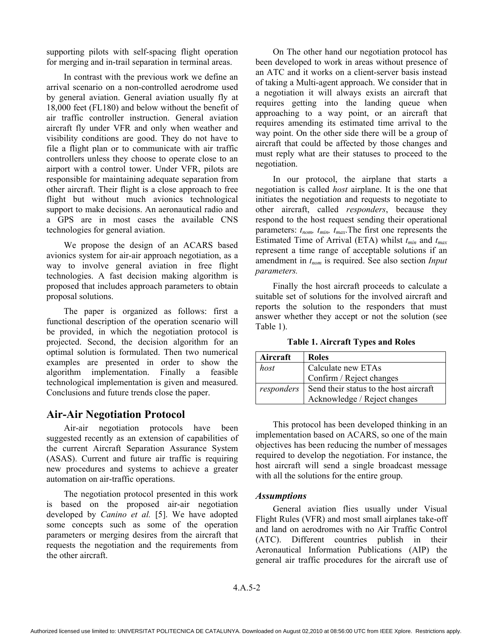supporting pilots with self-spacing flight operation for merging and in-trail separation in terminal areas.

In contrast with the previous work we define an arrival scenario on a non-controlled aerodrome used by general aviation. General aviation usually fly at 18,000 feet (FL180) and below without the benefit of air traffic controller instruction. General aviation aircraft fly under VFR and only when weather and visibility conditions are good. They do not have to file a flight plan or to communicate with air traffic controllers unless they choose to operate close to an airport with a control tower. Under VFR, pilots are responsible for maintaining adequate separation from other aircraft. Their flight is a close approach to free flight but without much avionics technological support to make decisions. An aeronautical radio and a GPS are in most cases the available CNS technologies for general aviation.

We propose the design of an ACARS based avionics system for air-air approach negotiation, as a way to involve general aviation in free flight technologies. A fast decision making algorithm is proposed that includes approach parameters to obtain proposal solutions.

The paper is organized as follows: first a functional description of the operation scenario will be provided, in which the negotiation protocol is projected. Second, the decision algorithm for an optimal solution is formulated. Then two numerical examples are presented in order to show the algorithm implementation. Finally a feasible technological implementation is given and measured. Conclusions and future trends close the paper.

# **Air-Air Negotiation Protocol**

Air-air negotiation protocols have been suggested recently as an extension of capabilities of the current Aircraft Separation Assurance System (ASAS). Current and future air traffic is requiring new procedures and systems to achieve a greater automation on air-traffic operations.

The negotiation protocol presented in this work is based on the proposed air-air negotiation developed by *Canino et al.* [5]. We have adopted some concepts such as some of the operation parameters or merging desires from the aircraft that requests the negotiation and the requirements from the other aircraft.

On The other hand our negotiation protocol has been developed to work in areas without presence of an ATC and it works on a client-server basis instead of taking a Multi-agent approach. We consider that in a negotiation it will always exists an aircraft that requires getting into the landing queue when approaching to a way point, or an aircraft that requires amending its estimated time arrival to the way point. On the other side there will be a group of aircraft that could be affected by those changes and must reply what are their statuses to proceed to the negotiation.

In our protocol, the airplane that starts a negotiation is called *host* airplane. It is the one that initiates the negotiation and requests to negotiate to other aircraft, called *responders*, because they respond to the host request sending their operational parameters:  $t_{nom}$ ,  $t_{min}$ ,  $t_{max}$ . The first one represents the Estimated Time of Arrival (ETA) whilst *tmin* and *tmax* represent a time range of acceptable solutions if an amendment in  $t_{nom}$  is required. See also section *Input parameters.*

Finally the host aircraft proceeds to calculate a suitable set of solutions for the involved aircraft and reports the solution to the responders that must answer whether they accept or not the solution (see Table 1).

**Table 1. Aircraft Types and Roles** 

| Aircraft   | <b>Roles</b>                           |  |
|------------|----------------------------------------|--|
| host       | Calculate new ETAs                     |  |
|            | Confirm / Reject changes               |  |
| responders | Send their status to the host aircraft |  |
|            | Acknowledge / Reject changes           |  |

This protocol has been developed thinking in an implementation based on ACARS, so one of the main objectives has been reducing the number of messages required to develop the negotiation. For instance, the host aircraft will send a single broadcast message with all the solutions for the entire group.

### *Assumptions*

General aviation flies usually under Visual Flight Rules (VFR) and most small airplanes take-off and land on aerodromes with no Air Traffic Control (ATC). Different countries publish in their Aeronautical Information Publications (AIP) the general air traffic procedures for the aircraft use of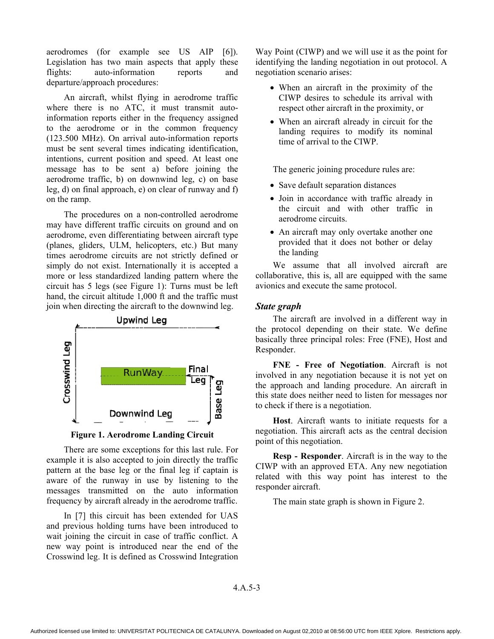aerodromes (for example see US AIP [6]). Legislation has two main aspects that apply these flights: auto-information reports and departure/approach procedures:

An aircraft, whilst flying in aerodrome traffic where there is no ATC, it must transmit autoinformation reports either in the frequency assigned to the aerodrome or in the common frequency (123.500 MHz). On arrival auto-information reports must be sent several times indicating identification, intentions, current position and speed. At least one message has to be sent a) before joining the aerodrome traffic, b) on downwind leg, c) on base leg, d) on final approach, e) on clear of runway and f) on the ramp.

The procedures on a non-controlled aerodrome may have different traffic circuits on ground and on aerodrome, even differentiating between aircraft type (planes, gliders, ULM, helicopters, etc.) But many times aerodrome circuits are not strictly defined or simply do not exist. Internationally it is accepted a more or less standardized landing pattern where the circuit has 5 legs (see Figure 1): Turns must be left hand, the circuit altitude 1,000 ft and the traffic must join when directing the aircraft to the downwind leg.



**Figure 1. Aerodrome Landing Circuit** 

There are some exceptions for this last rule. For example it is also accepted to join directly the traffic pattern at the base leg or the final leg if captain is aware of the runway in use by listening to the messages transmitted on the auto information frequency by aircraft already in the aerodrome traffic.

In [7] this circuit has been extended for UAS and previous holding turns have been introduced to wait joining the circuit in case of traffic conflict. A new way point is introduced near the end of the Crosswind leg. It is defined as Crosswind Integration

Way Point (CIWP) and we will use it as the point for identifying the landing negotiation in out protocol. A negotiation scenario arises:

- When an aircraft in the proximity of the CIWP desires to schedule its arrival with respect other aircraft in the proximity, or
- When an aircraft already in circuit for the landing requires to modify its nominal time of arrival to the CIWP.

The generic joining procedure rules are:

- Save default separation distances
- Join in accordance with traffic already in the circuit and with other traffic in aerodrome circuits.
- An aircraft may only overtake another one provided that it does not bother or delay the landing

We assume that all involved aircraft are collaborative, this is, all are equipped with the same avionics and execute the same protocol.

### *State graph*

The aircraft are involved in a different way in the protocol depending on their state. We define basically three principal roles: Free (FNE), Host and Responder.

**FNE - Free of Negotiation**. Aircraft is not involved in any negotiation because it is not yet on the approach and landing procedure. An aircraft in this state does neither need to listen for messages nor to check if there is a negotiation.

**Host**. Aircraft wants to initiate requests for a negotiation. This aircraft acts as the central decision point of this negotiation.

**Resp - Responder**. Aircraft is in the way to the CIWP with an approved ETA. Any new negotiation related with this way point has interest to the responder aircraft.

The main state graph is shown in Figure 2.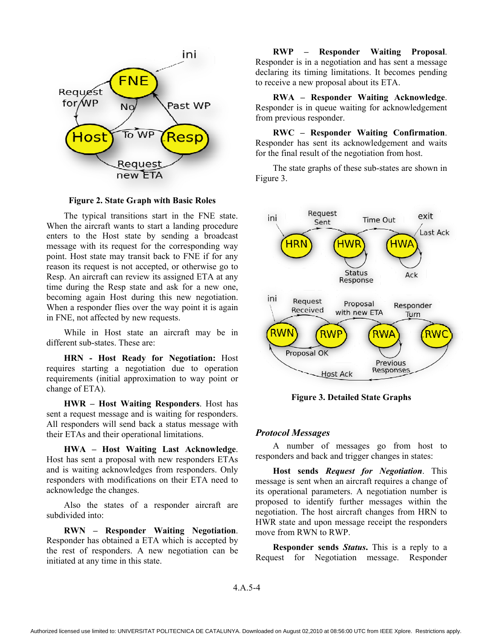

**Figure 2. State Graph with Basic Roles** 

The typical transitions start in the FNE state. When the aircraft wants to start a landing procedure enters to the Host state by sending a broadcast message with its request for the corresponding way point. Host state may transit back to FNE if for any reason its request is not accepted, or otherwise go to Resp. An aircraft can review its assigned ETA at any time during the Resp state and ask for a new one, becoming again Host during this new negotiation. When a responder flies over the way point it is again in FNE, not affected by new requests.

While in Host state an aircraft may be in different sub-states. These are:

**HRN - Host Ready for Negotiation:** Host requires starting a negotiation due to operation requirements (initial approximation to way point or change of ETA).

**HWR – Host Waiting Responders**. Host has sent a request message and is waiting for responders. All responders will send back a status message with their ETAs and their operational limitations.

**HWA – Host Waiting Last Acknowledge**. Host has sent a proposal with new responders ETAs and is waiting acknowledges from responders. Only responders with modifications on their ETA need to acknowledge the changes.

Also the states of a responder aircraft are subdivided into:

**RWN – Responder Waiting Negotiation**. Responder has obtained a ETA which is accepted by the rest of responders. A new negotiation can be initiated at any time in this state.

**RWP – Responder Waiting Proposal**. Responder is in a negotiation and has sent a message declaring its timing limitations. It becomes pending to receive a new proposal about its ETA.

**RWA – Responder Waiting Acknowledge**. Responder is in queue waiting for acknowledgement from previous responder.

**RWC – Responder Waiting Confirmation**. Responder has sent its acknowledgement and waits for the final result of the negotiation from host.

The state graphs of these sub-states are shown in Figure 3.



**Figure 3. Detailed State Graphs** 

#### *Protocol Messages*

A number of messages go from host to responders and back and trigger changes in states:

**Host sends** *Request for Negotiation*. This message is sent when an aircraft requires a change of its operational parameters. A negotiation number is proposed to identify further messages within the negotiation. The host aircraft changes from HRN to HWR state and upon message receipt the responders move from RWN to RWP.

**Responder sends** *Status***.** This is a reply to a Request for Negotiation message. Responder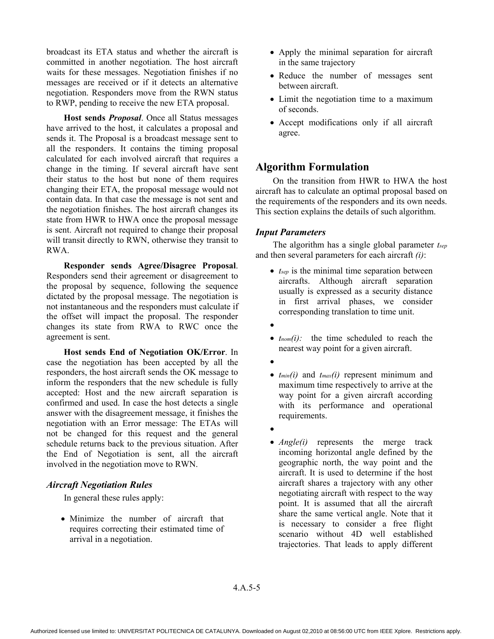broadcast its ETA status and whether the aircraft is committed in another negotiation. The host aircraft waits for these messages. Negotiation finishes if no messages are received or if it detects an alternative negotiation. Responders move from the RWN status to RWP, pending to receive the new ETA proposal.

**Host sends** *Proposal*. Once all Status messages have arrived to the host, it calculates a proposal and sends it. The Proposal is a broadcast message sent to all the responders. It contains the timing proposal calculated for each involved aircraft that requires a change in the timing. If several aircraft have sent their status to the host but none of them requires changing their ETA, the proposal message would not contain data. In that case the message is not sent and the negotiation finishes. The host aircraft changes its state from HWR to HWA once the proposal message is sent. Aircraft not required to change their proposal will transit directly to RWN, otherwise they transit to RWA.

**Responder sends Agree/Disagree Proposal**. Responders send their agreement or disagreement to the proposal by sequence, following the sequence dictated by the proposal message. The negotiation is not instantaneous and the responders must calculate if the offset will impact the proposal. The responder changes its state from RWA to RWC once the agreement is sent.

**Host sends End of Negotiation OK/Error**. In case the negotiation has been accepted by all the responders, the host aircraft sends the OK message to inform the responders that the new schedule is fully accepted: Host and the new aircraft separation is confirmed and used. In case the host detects a single answer with the disagreement message, it finishes the negotiation with an Error message: The ETAs will not be changed for this request and the general schedule returns back to the previous situation. After the End of Negotiation is sent, all the aircraft involved in the negotiation move to RWN.

### *Aircraft Negotiation Rules*

In general these rules apply:

• Minimize the number of aircraft that requires correcting their estimated time of arrival in a negotiation.

- Apply the minimal separation for aircraft in the same trajectory
- Reduce the number of messages sent between aircraft.
- Limit the negotiation time to a maximum of seconds.
- Accept modifications only if all aircraft agree.

# **Algorithm Formulation**

On the transition from HWR to HWA the host aircraft has to calculate an optimal proposal based on the requirements of the responders and its own needs. This section explains the details of such algorithm.

### *Input Parameters*

The algorithm has a single global parameter *tsep* and then several parameters for each aircraft *(i)*:

- *tsep* is the minimal time separation between aircrafts. Although aircraft separation usually is expressed as a security distance in first arrival phases, we consider corresponding translation to time unit.
- •
- *t<sub>nom</sub>(i)*: the time scheduled to reach the nearest way point for a given aircraft.
- •
- *tmin(i)* and *tmax(i)* represent minimum and maximum time respectively to arrive at the way point for a given aircraft according with its performance and operational requirements.
- •
- *Angle(i)* represents the merge track incoming horizontal angle defined by the geographic north, the way point and the aircraft. It is used to determine if the host aircraft shares a trajectory with any other negotiating aircraft with respect to the way point. It is assumed that all the aircraft share the same vertical angle. Note that it is necessary to consider a free flight scenario without 4D well established trajectories. That leads to apply different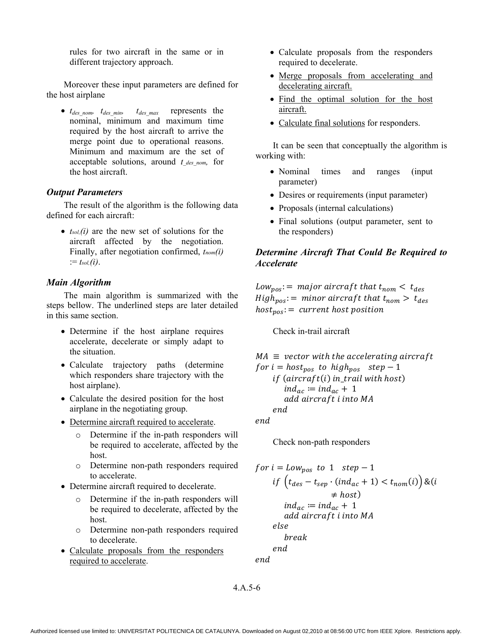rules for two aircraft in the same or in different trajectory approach.

Moreover these input parameters are defined for the host airplane

• *tdes\_nom, tdes\_min, tdes\_max* represents the nominal, minimum and maximum time required by the host aircraft to arrive the merge point due to operational reasons. Minimum and maximum are the set of acceptable solutions, around *t\_des\_nom,* for the host aircraft.

#### *Output Parameters*

The result of the algorithm is the following data defined for each aircraft:

•  $t_{sol}(i)$  are the new set of solutions for the aircraft affected by the negotiation. Finally, after negotiation confirmed, *tnom(i)* :=  $t_{sol}(i)$ .

#### *Main Algorithm*

The main algorithm is summarized with the steps bellow. The underlined steps are later detailed in this same section.

- Determine if the host airplane requires accelerate, decelerate or simply adapt to the situation.
- Calculate trajectory paths (determine) which responders share trajectory with the host airplane).
- Calculate the desired position for the host airplane in the negotiating group.
- Determine aircraft required to accelerate.
	- o Determine if the in-path responders will be required to accelerate, affected by the host.
	- o Determine non-path responders required to accelerate.
- Determine aircraft required to decelerate.
	- o Determine if the in-path responders will be required to decelerate, affected by the host.
	- o Determine non-path responders required to decelerate.
- Calculate proposals from the responders required to accelerate.
- Calculate proposals from the responders required to decelerate.
- Merge proposals from accelerating and decelerating aircraft.
- Find the optimal solution for the host aircraft.
- Calculate final solutions for responders.

It can be seen that conceptually the algorithm is working with:

- Nominal times and ranges (input parameter)
- Desires or requirements (input parameter)
- Proposals (internal calculations)
- Final solutions (output parameter, sent to the responders)

### *Determine Aircraft That Could Be Required to Accelerate*

 $Low_{pos} := major\ aircraft\ that\ t_{nom} < t_{des}$  $High_{pos} :=$  minor aircraft that  $t_{nom} > t_{des}$  $host_{pos}$ : = current host position

Check in-trail aircraft

 $MA \equiv$  vector with the accelerating aircraft  $for i = host_{pos}$  to high<sub>pos</sub> step - 1  $if (aircraft(i) in_{train} will with host)$  $ind_{ac} := ind_{ac} + 1$ add aircraft i into MA end

end

Check non-path responders

$$
for i = Low_{pos} to 1 \ step - 1
$$
  
\n
$$
if (t_{des} - t_{sep} \cdot (ind_{ac} + 1) < t_{nom}(i)) \&(i \neq host)
$$
  
\n
$$
ind_{ac} := ind_{ac} + 1
$$
  
\n
$$
add \ aircraft \ i \ into \ MA
$$
  
\n
$$
else
$$
  
\n
$$
break
$$
  
\n
$$
end
$$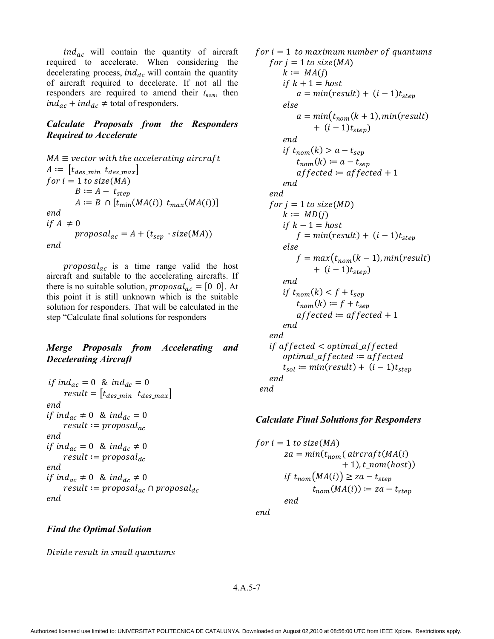*ind<sub>ac</sub>* will contain the quantity of aircraft required to accelerate. When considering the decelerating process,  $ind_{dc}$  will contain the quantity of aircraft required to decelerate. If not all the responders are required to amend their  $t_{nom}$ , then  $ind_{ac}$  +  $ind_{dc}$   $\neq$  total of responders.

### *Calculate Proposals from the Responders Required to Accelerate*

 $MA \equiv$  vector with the accelerating aircraft  $A := [t_{des\_min} \ t_{des\_max}]$  $for i = 1 to size (MA)$  $B := A - t_{step}$  $A := B \cap [t_{\min}(MA(i)) \ t_{\max}(MA(i))]$ end  $if A \neq 0$  $proposal_{ac} = A + (t_{sen} \cdot size(MA))$ end

*proposal<sub>ac</sub>* is a time range valid the host aircraft and suitable to the accelerating aircrafts. If there is no suitable solution,  $\text{proposal}_{ac} = [0 \ 0]$ . At this point it is still unknown which is the suitable solution for responders. That will be calculated in the step "Calculate final solutions for responders

#### *Merge Proposals from Accelerating and Decelerating Aircraft*

if 
$$
ind_{ac} = 0
$$
 &  $ind_{dc} = 0$   
\nresult =  $[t_{des\_min} \ t_{des\_max}]$   
\nend  
\nif  $ind_{ac} \neq 0$  &  $ind_{dc} = 0$   
\nresult := proposal<sub>ac</sub>  
\nend  
\nif  $ind_{ac} = 0$  &  $ind_{dc} \neq 0$   
\nresult := proposal<sub>dc</sub>  
\nend  
\nif  $ind_{ac} \neq 0$  &  $ind_{dc} \neq 0$   
\nresult := proposal<sub>ac</sub>  $\cap$  proposal<sub>dc</sub>  
\nend

 $for i = 1$  to maximum number of quantums  $for j = 1 to size(MA)$  $k := MA(j)$  $if k+1 = host$  $a = min(result) + (i - 1)t_{\text{step}}$ else  $a = min(t_{nom}(k + 1), min(result))$  $+ (i - 1)t_{\text{step}}$ end if  $t_{nom}(k) > a - t_{sep}$  $t_{nom}(k) \coloneqq a - t_{sep}$  $affected := affected + 1$ end end  $for i = 1 to size(MD)$  $k := MD(j)$  $if k - 1 = host$  $f = min(result) + (i - 1)t_{\text{step}}$ else  $f = max(t_{nom}(k-1), min(result))$  $+$   $(i-1)t_{\text{step}}$ end if  $t_{nom}(k) < f + t_{sen}$  $t_{nom}(k) \coloneqq f + t_{sen}$  $affected := affected + 1$ end end if affected < optimal\_affected  $optimal_{a}$  affected  $\coloneq$  affected  $t_{sol} \coloneqq min(result) + (i - 1)t_{step}$ end end

#### *Calculate Final Solutions for Responders*

for 
$$
i = 1
$$
 to size(MA)  
\n $za = min(t_{nom}(aircraft(MA(i) + 1), t\_nom(host))$   
\nif  $t_{nom}(MA(i)) \ge za - t_{step}$   
\n $t_{nom}(MA(i)) := za - t_{step}$   
\nend

end

#### *Find the Optimal Solution*

Divide result in small quantums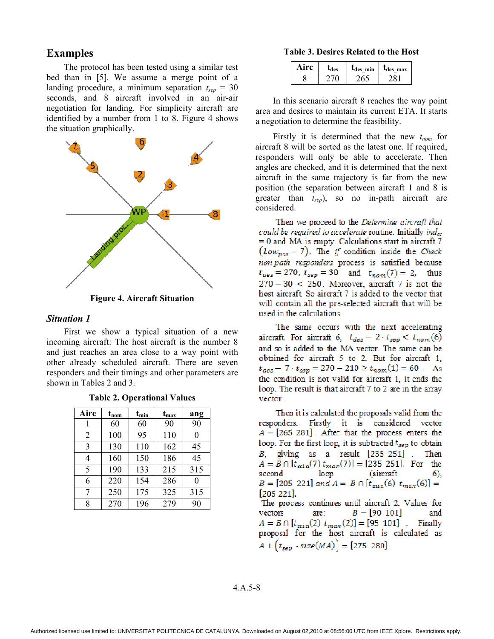### **Examples**

The protocol has been tested using a similar test bed than in [5]. We assume a merge point of a landing procedure, a minimum separation  $t_{sep} = 30$ seconds, and 8 aircraft involved in an air-air negotiation for landing. For simplicity aircraft are identified by a number from 1 to 8. Figure 4 shows the situation graphically.



**Figure 4. Aircraft Situation** 

#### *Situation 1*

First we show a typical situation of a new incoming aircraft: The host aircraft is the number 8 and just reaches an area close to a way point with other already scheduled aircraft. There are seven responders and their timings and other parameters are shown in Tables 2 and 3.

| Airc | $t_{nom}$ | $\mathbf{t_{min}}$ | $t_{\rm max}$ | ang |
|------|-----------|--------------------|---------------|-----|
|      | 60        | 60                 | 90            | 90  |
| 2    | 100       | 95                 | 110           | 0   |
| 3    | 130       | 110                | 162           | 45  |
| 4    | 160       | 150                | 186           | 45  |
| 5    | 190       | 133                | 215           | 315 |
| 6    | 220       | 154                | 286           | 0   |
| 7    | 250       | 175                | 325           | 315 |
| 8    | 270       | 196                | 279           | 90  |

| <b>Table 2. Operational Values</b> |  |  |  |
|------------------------------------|--|--|--|
|------------------------------------|--|--|--|

**Table 3. Desires Related to the Host**

| ،irc | $\tau_{\rm des}$ | $\mathbf{t}_{\mathrm{des}}$ min | <sup>L</sup> des max |
|------|------------------|---------------------------------|----------------------|
|      |                  |                                 |                      |

In this scenario aircraft 8 reaches the way point area and desires to maintain its current ETA. It starts a negotiation to determine the feasibility.

Firstly it is determined that the new  $t_{nom}$  for aircraft 8 will be sorted as the latest one. If required, responders will only be able to accelerate. Then angles are checked, and it is determined that the next aircraft in the same trajectory is far from the new position (the separation between aircraft 1 and 8 is greater than *tsep*), so no in-path aircraft are considered.

Then we proceed to the Determine aircraft that could be required to accelerate routine. Initially  $ind_{\alpha}$  $= 0$  and MA is empty. Calculations start in aircraft  $7$  $(Low_{pos} = 7)$ . The if condition inside the Check non-path responders process is satisfied because  $t_{des} = 270$ ,  $t_{sep} = 30$  and  $t_{nom}(7) = 2$ , thus  $270 - 30 < 250$ . Moreover, aircraft 7 is not the host aircraft So aircraft 7 is added to the vector that will contain all the pre-selected aircraft that will be used in the calculations.

The same occurs with the next accelerating aircraft. For aircraft 6,  $t_{des} = 2 \cdot t_{sep} \leq t_{nom}(6)$ and so is added to the MA vector. The same can be obtained for aircraft 5 to 2. But for aircraft 1,  $t_{\text{des}} - 7 \cdot t_{\text{sep}} = 270 - 210 \ge t_{\text{nom}}(1) = 60$ . As the condition is not valid for aircraft 1, it ends the loop. The result is that aircraft 7 to 2 are in the array vector.

Then it is calculated the proposals valid from the responders. Firstly it is considered vector  $A = [265 281]$ . After that the process enters the loop. For the first loop, it is subtracted  $t_{sep}$  to obtain  $B$ , giving as a result  $[235 251]$ . Then  $A = B \cap [t_{\min}(7) t_{\max}(7)] = [235 \ 251]$ . For the second loop (aircraft) 6),  $B = [205 \ 221]$  and  $A = B \cap [t_{\min}(6) \ t_{\max}(6)] =$  $[205 221]$ . The process continues until aircraft 2. Values for  $B = [90 \ 101]$  $are:$ vectors and  $A = B \cap [t_{\min}(2) \ t_{\max}(2)] = [95 \ 101]$  . Finally proposal for the host aircraft is calculated as  $A + (t_{sep} \cdot size(MA)) = [275 \ 280].$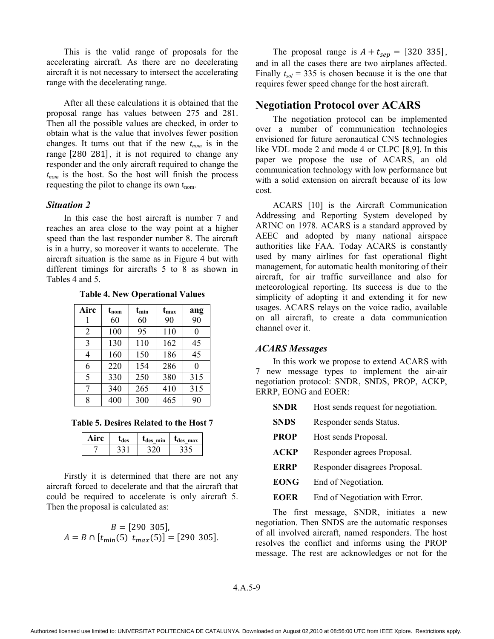This is the valid range of proposals for the accelerating aircraft. As there are no decelerating aircraft it is not necessary to intersect the accelerating range with the decelerating range.

After all these calculations it is obtained that the proposal range has values between 275 and 281. Then all the possible values are checked, in order to obtain what is the value that involves fewer position changes. It turns out that if the new  $t_{nom}$  is in the range  $[280 281]$ , it is not required to change any responder and the only aircraft required to change the  $t_{nom}$  is the host. So the host will finish the process requesting the pilot to change its own  $t_{\text{nom}}$ .

### *Situation 2*

In this case the host aircraft is number 7 and reaches an area close to the way point at a higher speed than the last responder number 8. The aircraft is in a hurry, so moreover it wants to accelerate. The aircraft situation is the same as in Figure 4 but with different timings for aircrafts 5 to 8 as shown in Tables 4 and 5.

**Table 4. New Operational Values** 

| Airc | $t_{\text{n$ | $t_{\rm min}$ | $t_{\rm max}$ | ang |
|------|--------------|---------------|---------------|-----|
|      | 60           | 60            | 90            | 90  |
| 2    | 100          | 95            | 110           | 0   |
| 3    | 130          | 110           | 162           | 45  |
| 4    | 160          | 150           | 186           | 45  |
| 6    | 220          | 154           | 286           | 0   |
| 5    | 330          | 250           | 380           | 315 |
| 7    | 340          | 265           | 410           | 315 |
| 8    | 400          | 300           | 465           | 90  |

**Table 5. Desires Related to the Host 7**

| irc | $\mathbf{H}_{\mathbf{Q}\mathbf{C}}$ | $L_{\text{des}}$<br>min | Udes<br>max |
|-----|-------------------------------------|-------------------------|-------------|
|     |                                     |                         |             |

Firstly it is determined that there are not any aircraft forced to decelerate and that the aircraft that could be required to accelerate is only aircraft 5. Then the proposal is calculated as:

$$
B = [290 \ 305],
$$
  

$$
A = B \cap [t_{\min}(5) \ t_{\max}(5)] = [290 \ 305].
$$

The proposal range is  $A + t_{sep} = [320 335]$ , and in all the cases there are two airplanes affected. Finally  $t_{sol}$  = 335 is chosen because it is the one that requires fewer speed change for the host aircraft.

### **Negotiation Protocol over ACARS**

The negotiation protocol can be implemented over a number of communication technologies envisioned for future aeronautical CNS technologies like VDL mode 2 and mode 4 or CLPC [8,9]. In this paper we propose the use of ACARS, an old communication technology with low performance but with a solid extension on aircraft because of its low cost.

ACARS [10] is the Aircraft Communication Addressing and Reporting System developed by ARINC on 1978. ACARS is a standard approved by AEEC and adopted by many national airspace authorities like FAA. Today ACARS is constantly used by many airlines for fast operational flight management, for automatic health monitoring of their aircraft, for air traffic surveillance and also for meteorological reporting. Its success is due to the simplicity of adopting it and extending it for new usages. ACARS relays on the voice radio, available on all aircraft, to create a data communication channel over it.

#### *ACARS Messages*

In this work we propose to extend ACARS with 7 new message types to implement the air-air negotiation protocol: SNDR, SNDS, PROP, ACKP, ERRP, EONG and EOER:

| <b>SNDR</b> | Host sends request for negotiation. |  |  |
|-------------|-------------------------------------|--|--|
| <b>SNDS</b> | Responder sends Status.             |  |  |
| <b>PROP</b> | Host sends Proposal.                |  |  |
| ACKP        | Responder agrees Proposal.          |  |  |
| <b>ERRP</b> | Responder disagrees Proposal.       |  |  |
| <b>EONG</b> | End of Negotiation.                 |  |  |
| <b>EOER</b> | End of Negotiation with Error.      |  |  |
|             |                                     |  |  |

The first message, SNDR, initiates a new negotiation. Then SNDS are the automatic responses of all involved aircraft, named responders. The host resolves the conflict and informs using the PROP message. The rest are acknowledges or not for the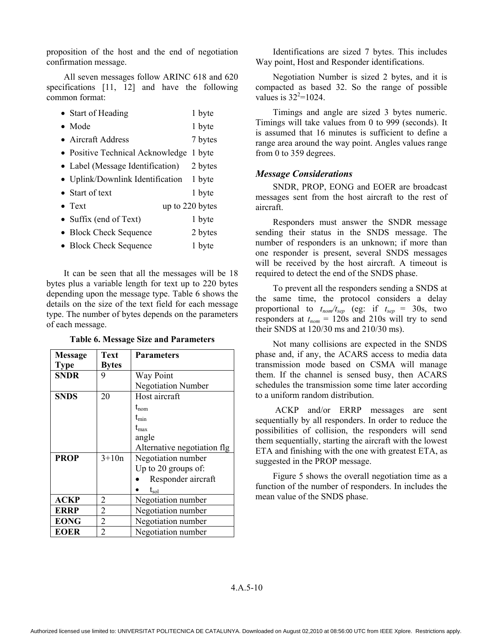proposition of the host and the end of negotiation confirmation message.

All seven messages follow ARINC 618 and 620 specifications [11, 12] and have the following common format:

| • Start of Heading               | 1 byte          |
|----------------------------------|-----------------|
| $\bullet$ Mode                   | 1 byte          |
| • Aircraft Address               | 7 bytes         |
| • Positive Technical Acknowledge | 1 byte          |
| • Label (Message Identification) | 2 bytes         |
| • Uplink/Downlink Identification | 1 byte          |
| • Start of text                  | 1 byte          |
| $\bullet$ Text                   | up to 220 bytes |
| • Suffix (end of Text)           | 1 byte          |
| • Block Check Sequence           | 2 bytes         |
| • Block Check Sequence           | 1 byte          |

It can be seen that all the messages will be 18 bytes plus a variable length for text up to 220 bytes depending upon the message type. Table 6 shows the details on the size of the text field for each message type. The number of bytes depends on the parameters of each message.

| <b>Message</b> | Text         | <b>Parameters</b>           |
|----------------|--------------|-----------------------------|
| <b>Type</b>    | <b>Bytes</b> |                             |
| <b>SNDR</b>    | 9            | Way Point                   |
|                |              | <b>Negotiation Number</b>   |
| <b>SNDS</b>    | 20           | Host aircraft               |
|                |              | $t_{nom}$                   |
|                |              | $t_{\rm min}$               |
|                |              | $t_{\rm max}$               |
|                |              | angle                       |
|                |              | Alternative negotiation flg |
| <b>PROP</b>    | $3 + 10n$    | Negotiation number          |
|                |              | Up to 20 groups of:         |
|                |              | Responder aircraft          |
|                |              | $t_{\rm sol}$               |
| <b>ACKP</b>    | 2            | Negotiation number          |
| ERRP           | 2            | Negotiation number          |
| <b>EONG</b>    | 2            | Negotiation number          |
| <b>EOER</b>    | 2            | Negotiation number          |

**Table 6. Message Size and Parameters** 

Identifications are sized 7 bytes. This includes Way point, Host and Responder identifications.

Negotiation Number is sized 2 bytes, and it is compacted as based 32. So the range of possible values is  $32^2 = 1024$ .

Timings and angle are sized 3 bytes numeric. Timings will take values from 0 to 999 (seconds). It is assumed that 16 minutes is sufficient to define a range area around the way point. Angles values range from 0 to 359 degrees.

#### *Message Considerations*

SNDR, PROP, EONG and EOER are broadcast messages sent from the host aircraft to the rest of aircraft.

Responders must answer the SNDR message sending their status in the SNDS message. The number of responders is an unknown; if more than one responder is present, several SNDS messages will be received by the host aircraft. A timeout is required to detect the end of the SNDS phase.

To prevent all the responders sending a SNDS at the same time, the protocol considers a delay proportional to  $t_{nom}/t_{sep}$  (eg: if  $t_{sep} = 30s$ , two responders at  $t_{nom} = 120s$  and 210s will try to send their SNDS at 120/30 ms and 210/30 ms).

Not many collisions are expected in the SNDS phase and, if any, the ACARS access to media data transmission mode based on CSMA will manage them. If the channel is sensed busy, then ACARS schedules the transmission some time later according to a uniform random distribution.

 ACKP and/or ERRP messages are sent sequentially by all responders. In order to reduce the possibilities of collision, the responders will send them sequentially, starting the aircraft with the lowest ETA and finishing with the one with greatest ETA, as suggested in the PROP message.

Figure 5 shows the overall negotiation time as a function of the number of responders. In includes the mean value of the SNDS phase.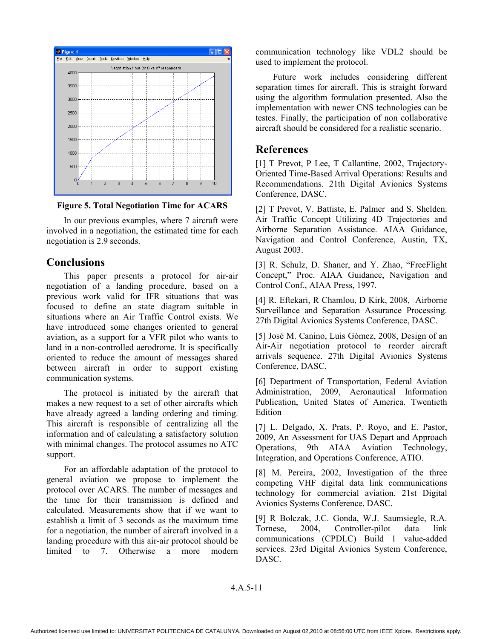

**Figure 5. Total Negotiation Time for ACARS** 

In our previous examples, where 7 aircraft were involved in a negotiation, the estimated time for each negotiation is 2.9 seconds.

# **Conclusions**

This paper presents a protocol for air-air negotiation of a landing procedure, based on a previous work valid for IFR situations that was focused to define an state diagram suitable in situations where an Air Traffic Control exists. We have introduced some changes oriented to general aviation, as a support for a VFR pilot who wants to land in a non-controlled aerodrome. It is specifically oriented to reduce the amount of messages shared between aircraft in order to support existing communication systems.

The protocol is initiated by the aircraft that makes a new request to a set of other aircrafts which have already agreed a landing ordering and timing. This aircraft is responsible of centralizing all the information and of calculating a satisfactory solution with minimal changes. The protocol assumes no ATC support.

For an affordable adaptation of the protocol to general aviation we propose to implement the protocol over ACARS. The number of messages and the time for their transmission is defined and calculated. Measurements show that if we want to establish a limit of 3 seconds as the maximum time for a negotiation, the number of aircraft involved in a landing procedure with this air-air protocol should be limited to 7. Otherwise a more modern communication technology like VDL2 should be used to implement the protocol.

Future work includes considering different separation times for aircraft. This is straight forward using the algorithm formulation presented. Also the implementation with newer CNS technologies can be testes. Finally, the participation of non collaborative aircraft should be considered for a realistic scenario.

# **References**

[1] T Prevot, P Lee, T Callantine, 2002, Trajectory-Oriented Time-Based Arrival Operations: Results and Recommendations. 21th Digital Avionics Systems Conference, DASC.

[2] T Prevot, V. Battiste, E. Palmer and S. Shelden. Air Traffic Concept Utilizing 4D Trajectories and Airborne Separation Assistance. AIAA Guidance, Navigation and Control Conference, Austin, TX, August 2003.

[3] R. Schulz, D. Shaner, and Y. Zhao, "FreeFlight Concept," Proc. AIAA Guidance, Navigation and Control Conf., AIAA Press, 1997.

[4] R. Eftekari, R Chamlou, D Kirk, 2008, Airborne Surveillance and Separation Assurance Processing. 27th Digital Avionics Systems Conference, DASC.

[5] José M. Canino, Luis Gómez, 2008, Design of an Air-Air negotiation protocol to reorder aircraft arrivals sequence. 27th Digital Avionics Systems Conference, DASC.

[6] Department of Transportation, Federal Aviation Administration, 2009, Aeronautical Information Publication, United States of America. Twentieth **Edition** 

[7] L. Delgado, X. Prats, P. Royo, and E. Pastor, 2009, An Assessment for UAS Depart and Approach Operations, 9th AIAA Aviation Technology, Integration, and Operations Conference, ATIO.

[8] M. Pereira, 2002, Investigation of the three competing VHF digital data link communications technology for commercial aviation. 21st Digital Avionics Systems Conference, DASC.

[9] R Bolczak, J.C. Gonda, W.J. Saumsiegle, R.A. Tornese, 2004, Controller-pilot data link communications (CPDLC) Build 1 value-added services. 23rd Digital Avionics System Conference, DASC.